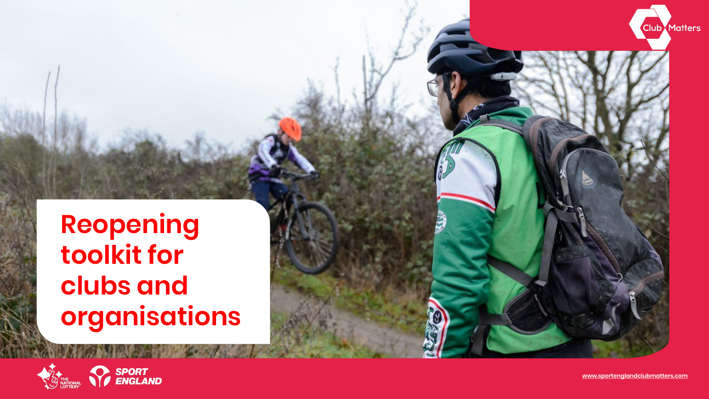# **Reopening toolkit for clubs and organisations**





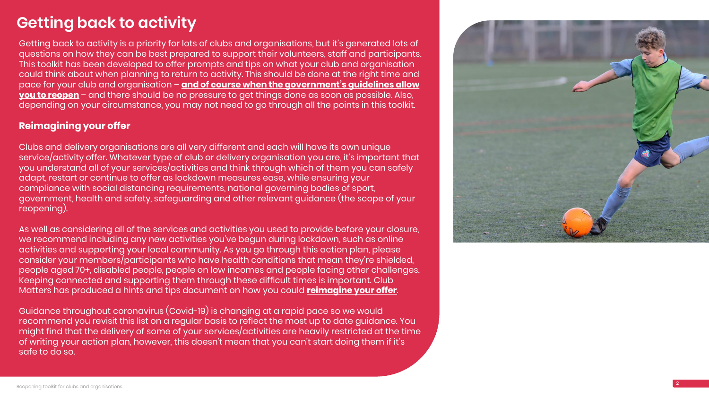#### **Getting back to activity**

Getting back to activity is a priority for lots of clubs and organisations, but it's generated lots of questions on how they can be best prepared to support their volunteers, staff and participants. This toolkit has been developed to offer prompts and tips on what your club and organisation could think about when planning to return to activity. This should be done at the right time and pace for your club and organisation – **<u>and of course when the government's guidelines allow</u> you to reopen** – [and there should be no pressure to get things done as soon as possible. Also,](https://www.gov.uk/government/publications/coronavirus-covid-19-guidance-on-phased-return-of-sport-and-recreation)  depending on your circumstance, you may not need to go through all the points in this toolkit.

As well as considering all of the services and activities you used to provide before your closure, we recommend including any new activities you've begun during lockdown, such as online activities and supporting your local community. As you go through this action plan, please consider your members/participants who have health conditions that mean they're shielded, people aged 70+, disabled people, people on low incomes and people facing other challenges. Keeping connected and supporting them through these difficult times is important. Club Matters has produced a hints and tips document on how you could **[reimagine your offer](https://learn.sportenglandclubmatters.com/course/view.php?id=71)** .<br>.

#### **Reimagining your offer**

Clubs and delivery organisations are all very different and each will have its own unique service/activity offer. Whatever type of club or delivery organisation you are, it's important that you understand all of your services/activities and think through which of them you can safely adapt, restart or continue to offer as lockdown measures ease, while ensuring your compliance with social distancing requirements, national governing bodies of sport, government, health and safety, safeguarding and other relevant guidance (the scope of your reopening).

Guidance throughout coronavirus (Covid -19) is changing at a rapid pace so we would recommend you revisit this list on a regular basis to reflect the most up to date guidance. You might find that the delivery of some of your services/activities are heavily restricted at the time of writing your action plan, however, this doesn't mean that you can't start doing them if it's safe to do so.

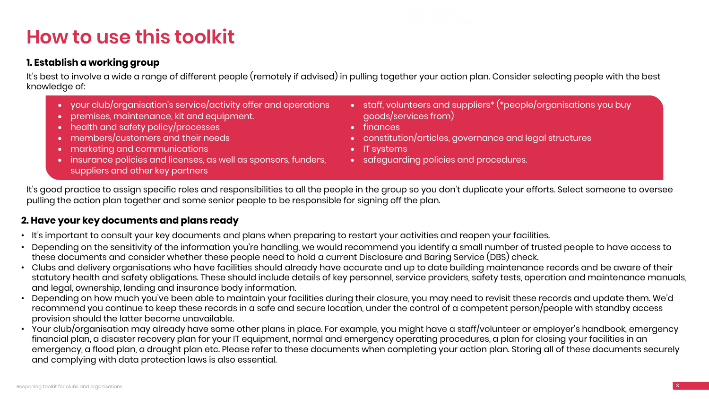# **How to use this toolkit**

#### **1. Establish a working group**

It's best to involve a wide a range of different people (remotely if advised) in pulling together your action plan. Consider selecting people with the best knowledge of:

#### **2. Have your key documents and plans ready**

- It's important to consult your key documents and plans when preparing to restart your activities and reopen your facilities.
- Depending on the sensitivity of the information you're handling, we would recommend you identify a small number of trusted people to have access to these documents and consider whether these people need to hold a current Disclosure and Baring Service (DBS) check.
- Clubs and delivery organisations who have facilities should already have accurate and up to date building maintenance records and be aware of their statutory health and safety obligations. These should include details of key personnel, service providers, safety tests, operation and maintenance manuals, and legal, ownership, lending and insurance body information.
- Depending on how much you've been able to maintain your facilities during their closure, you may need to revisit these records and update them. We'd recommend you continue to keep these records in a safe and secure location, under the control of a competent person/people with standby access provision should the latter become unavailable.
- Your club/organisation may already have some other plans in place. For example, you might have a staff/volunteer or employer's handbook, emergency financial plan, a disaster recovery plan for your IT equipment, normal and emergency operating procedures, a plan for closing your facilities in an emergency, a flood plan, a drought plan etc. Please refer to these documents when completing your action plan. Storing all of these documents securely and complying with data protection laws is also essential.



- your club/organisation's service/activity offer and operations
- premises, maintenance, kit and equipment.
- health and safety policy/processes
- members/customers and their needs
- marketing and communications
- insurance policies and licenses, as well as sponsors, funders, suppliers and other key partners
- goods/services from)
- finances
- 
- IT systems
- 

• staff, volunteers and suppliers\* (\*people/organisations you buy

• constitution/articles, governance and legal structures

• safeguarding policies and procedures.

It's good practice to assign specific roles and responsibilities to all the people in the group so you don't duplicate your efforts. Select someone to oversee pulling the action plan together and some senior people to be responsible for signing off the plan.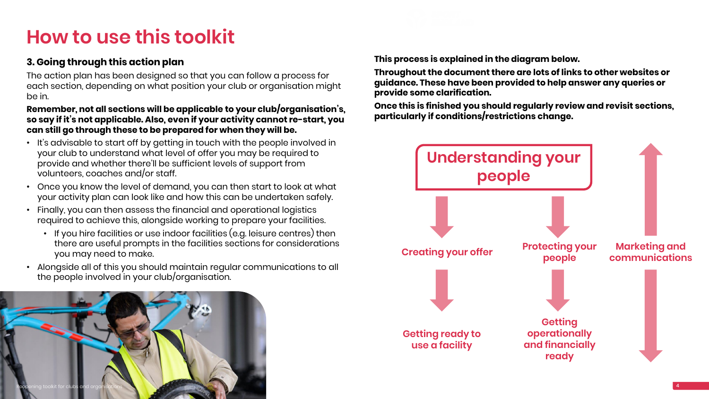# **How to use this toolkit**

#### **3. Going through this action plan**

The action plan has been designed so that you can follow a process for each section, depending on what position your club or organisation might be in.

#### **Remember, not all sections will be applicable to your club/organisation's, so say if it's not applicable. Also, even if your activity cannot re-start, you can still go through these to be prepared for when they will be.**

- It's advisable to start off by getting in touch with the people involved in your club to understand what level of offer you may be required to provide and whether there'll be sufficient levels of support from volunteers, coaches and/or staff.
- Once you know the level of demand, you can then start to look at what your activity plan can look like and how this can be undertaken safely.
- Finally, you can then assess the financial and operational logistics required to achieve this, alongside working to prepare your facilities.
	- If you hire facilities or use indoor facilities (e.g. leisure centres) then there are useful prompts in the facilities sections for considerations you may need to make.
- Alongside all of this you should maintain regular communications to all the people involved in your club/organisation.





**This process is explained in the diagram below.**

**Throughout the document there are lots of links to other websites or guidance. These have been provided to help answer any queries or provide some clarification.**

**Once this is finished you should regularly review and revisit sections, particularly if conditions/restrictions change.**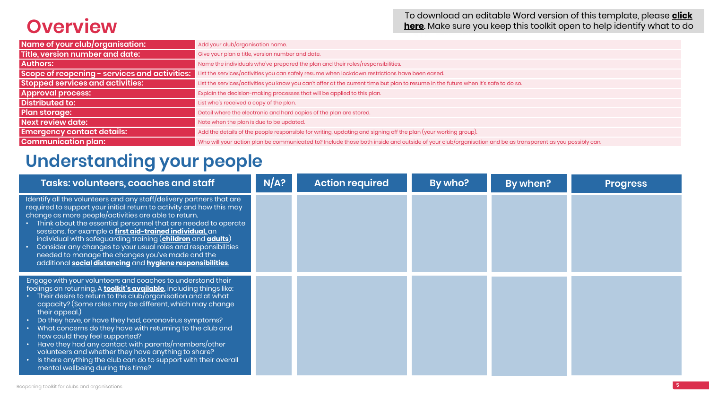# **Overview**

## **Understanding your people**

| <b>Tasks: volunteers, coaches and staff</b>                                                                                                                                                                                                                                                                                                                                                                                                                                                                                                                                                                                                                                  | N/A? | <b>Action required</b> | <b>By who?</b> | By when? | <b>Progress</b> |
|------------------------------------------------------------------------------------------------------------------------------------------------------------------------------------------------------------------------------------------------------------------------------------------------------------------------------------------------------------------------------------------------------------------------------------------------------------------------------------------------------------------------------------------------------------------------------------------------------------------------------------------------------------------------------|------|------------------------|----------------|----------|-----------------|
| Identify all the volunteers and any staff/delivery partners that are<br>required to support your initial return to activity and how this may<br>change as more people/activities are able to return.<br>• Think about the essential personnel that are needed to operate<br>sessions, for example a first aid-trained individual, an<br>individual with safeguarding training ( <b>children</b> and <b>adults</b> )<br>• Consider any changes to your usual roles and responsibilities<br>needed to manage the changes you've made and the<br>additional social distancing and hygiene responsibilities.                                                                     |      |                        |                |          |                 |
| Engage with your volunteers and coaches to understand their<br>feelings on returning, A <b>toolkit's available</b> , including things like:<br>Their desire to return to the club/organisation and at what<br>capacity? (Some roles may be different, which may change<br>their appeal.)<br>• Do they have, or have they had, coronavirus symptoms?<br>• What concerns do they have with returning to the club and<br>how could they feel supported?<br>Have they had any contact with parents/members/other<br>volunteers and whether they have anything to share?<br>Is there anything the club can do to support with their overall<br>mental wellbeing during this time? |      |                        |                |          |                 |

**Stopped services and activities:** List the services/activities you know you can't offer at the current time but plan to resume in the future when it's safe to do so.

f your club/organisation and be as transparent as you possibly can.

| Add your club/organisation name.                                                                                |
|-----------------------------------------------------------------------------------------------------------------|
| Give your plan a title, version number and date.                                                                |
| Name the individuals who've prepared the plan and their roles/responsibilities.                                 |
| List the services/activities you can safely resume when lockdown restrictions have been eased.                  |
| List the services/activities you know you can't offer at the current time but plan to resume in the future when |
| Explain the decision-making processes that will be applied to this plan.                                        |
| List who's received a copy of the plan.                                                                         |
| Detail where the electronic and hard copies of the plan are stored.                                             |
| Note when the plan is due to be updated.                                                                        |
| Add the details of the people responsible for writing, updating and signing off the plan (your working group).  |
| Who will your action plan be communicated to? Include those both inside and outside of your club/organisa       |
|                                                                                                                 |

[To download an editable Word version of this template, please](https://learn.sportenglandclubmatters.com/mod/resource/view.php?id=699) **click here**. Make sure you keep this toolkit open to help identify what to do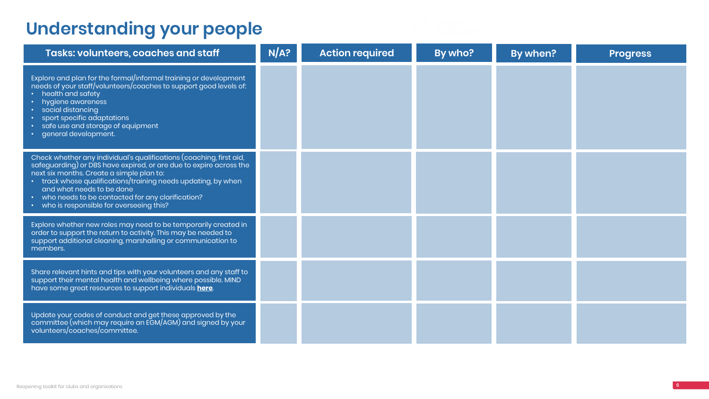# **Understanding your people**

| <b>Tasks: volunteers, coaches and staff</b>                                                                                                                                                                                                                                                                                                                                             | N/A? | <b>Action required</b> | By who? | By when? | <b>Progress</b> |
|-----------------------------------------------------------------------------------------------------------------------------------------------------------------------------------------------------------------------------------------------------------------------------------------------------------------------------------------------------------------------------------------|------|------------------------|---------|----------|-----------------|
| Explore and plan for the formal/informal training or development<br>needs of your staff/volunteers/coaches to support good levels of:<br>• health and safety<br>· hygiene awareness<br>• social distancing<br>sport specific adaptations<br>· safe use and storage of equipment<br>· general development.                                                                               |      |                        |         |          |                 |
| Check whether any individual's qualifications (coaching, first aid,<br>safeguarding) or DBS have expired, or are due to expire across the<br>next six months. Create a simple plan to:<br>• track whose qualifications/training needs updating, by when<br>and what needs to be done<br>• who needs to be contacted for any clarification?<br>• who is responsible for overseeing this? |      |                        |         |          |                 |
| Explore whether new roles may need to be temporarily created in<br>order to support the return to activity. This may be needed to<br>support additional cleaning, marshalling or communication to<br>members.                                                                                                                                                                           |      |                        |         |          |                 |
| Share relevant hints and tips with your volunteers and any staff to<br>support their mental health and wellbeing where possible. MIND<br>have some great resources to support individuals here.                                                                                                                                                                                         |      |                        |         |          |                 |
| Update your codes of conduct and get these approved by the<br>committee (which may require an EGM/AGM) and signed by your<br>volunteers/coaches/committee.                                                                                                                                                                                                                              |      |                        |         |          |                 |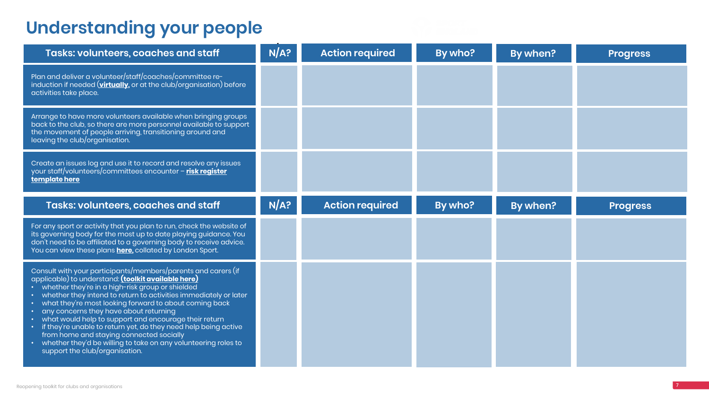| and the state of the state of the               |  |  |
|-------------------------------------------------|--|--|
| ________<br>the contract of the contract of the |  |  |

# **Understanding your people**

| <b>Tasks: volunteers, coaches and staff</b>                                                                                                                                                                                                                                                                                                                                                                                                                                                                                                                                                                                                   | N/A? | <b>Action required</b> | By who? | By when? | <b>Progress</b> |
|-----------------------------------------------------------------------------------------------------------------------------------------------------------------------------------------------------------------------------------------------------------------------------------------------------------------------------------------------------------------------------------------------------------------------------------------------------------------------------------------------------------------------------------------------------------------------------------------------------------------------------------------------|------|------------------------|---------|----------|-----------------|
| Plan and deliver a volunteer/staff/coaches/committee re-<br>induction if needed (virtually, or at the club/organisation) before<br>activities take place.                                                                                                                                                                                                                                                                                                                                                                                                                                                                                     |      |                        |         |          |                 |
| Arrange to have more volunteers available when bringing groups<br>back to the club, so there are more personnel available to support<br>the movement of people arriving, transitioning around and<br>leaving the club/organisation.                                                                                                                                                                                                                                                                                                                                                                                                           |      |                        |         |          |                 |
| Create an issues log and use it to record and resolve any issues<br>your staff/volunteers/committees encounter - risk register<br>template here                                                                                                                                                                                                                                                                                                                                                                                                                                                                                               |      |                        |         |          |                 |
| <b>Tasks: volunteers, coaches and staff</b>                                                                                                                                                                                                                                                                                                                                                                                                                                                                                                                                                                                                   | N/A? | <b>Action required</b> | By who? | By when? | <b>Progress</b> |
| For any sport or activity that you plan to run, check the website of<br>its governing body for the most up to date playing guidance. You<br>don't need to be affiliated to a governing body to receive advice.<br>You can view these plans here, collated by London Sport.                                                                                                                                                                                                                                                                                                                                                                    |      |                        |         |          |                 |
| Consult with your participants/members/parents and carers (if<br>applicable) to understand: <i>(toolkit available here)</i><br>• whether they're in a high-risk group or shielded<br>• whether they intend to return to activities immediately or later<br>what they're most looking forward to about coming back<br>• any concerns they have about returning<br>• what would help to support and encourage their return<br>• if they're unable to return yet, do they need help being active<br>from home and staying connected socially<br>whether they'd be willing to take on any volunteering roles to<br>support the club/organisation. |      |                        |         |          |                 |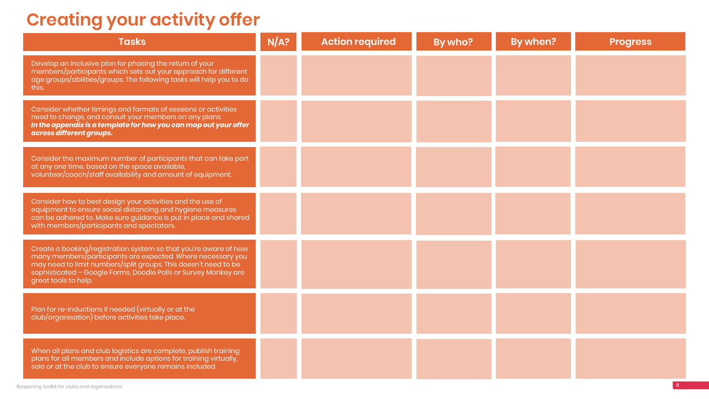# **Creating your activity offer**

| <b>Tasks</b>                                                                                                                                                                                                                                                                                  | N/A? | <b>Action required</b> | By who? | By when? | <b>Progress</b> |
|-----------------------------------------------------------------------------------------------------------------------------------------------------------------------------------------------------------------------------------------------------------------------------------------------|------|------------------------|---------|----------|-----------------|
| Develop an inclusive plan for phasing the return of your<br>members/participants which sets out your approach for different<br>age groups/abilities/groups. The following tasks will help you to do<br>this.                                                                                  |      |                        |         |          |                 |
| Consider whether timings and formats of sessions or activities<br>need to change, and consult your members on any plans.<br>In the appendix is a template for how you can map out your offer<br>across different groups.                                                                      |      |                        |         |          |                 |
| Consider the maximum number of participants that can take part<br>at any one time, based on the space available,<br>volunteer/coach/staff availability and amount of equipment.                                                                                                               |      |                        |         |          |                 |
| Consider how to best design your activities and the use of<br>equipment to ensure social distancing and hygiene measures<br>can be adhered to. Make sure guidance is put in place and shared<br>with members/participants and spectators.                                                     |      |                        |         |          |                 |
| Create a booking/registration system so that you're aware of how<br>many members/participants are expected. Where necessary you<br>may need to limit numbers/split groups. This doesn't need to be<br>sophisticated - Google Forms, Doodle Polls or Survey Monkey are<br>great tools to help. |      |                        |         |          |                 |
| Plan for re-inductions if needed (virtually or at the<br>club/organisation) before activities take place.                                                                                                                                                                                     |      |                        |         |          |                 |
| When all plans and club logistics are complete, publish training<br>plans for all members and include options for training virtually,<br>solo or at the club to ensure everyone remains included.                                                                                             |      |                        |         |          |                 |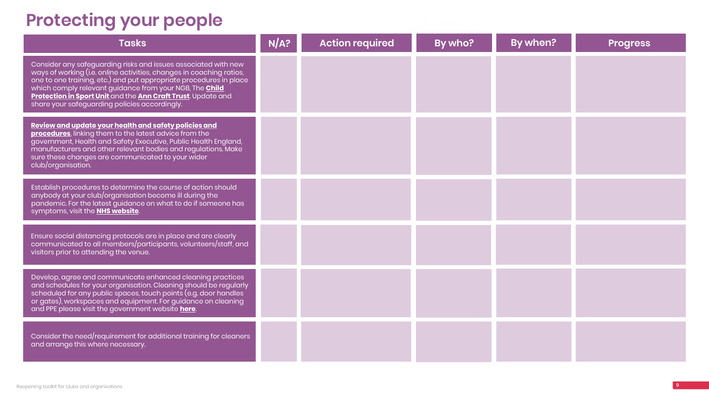| <b>Tasks</b>                                                                                                                                                                                                                                                                                                                                                                                    | N/A? | <b>Action required</b> | By who? | By when? | <b>Progress</b> |
|-------------------------------------------------------------------------------------------------------------------------------------------------------------------------------------------------------------------------------------------------------------------------------------------------------------------------------------------------------------------------------------------------|------|------------------------|---------|----------|-----------------|
| Consider any safeguarding risks and issues associated with new<br>ways of working (i.e. online activities, changes in coaching ratios,<br>one to one training, etc.) and put appropriate procedures in place<br>which comply relevant guidance from your NGB, The <b>Child</b><br>Protection in Sport Unit and the Ann Craft Trust. Update and<br>share your safeguarding policies accordingly. |      |                        |         |          |                 |
| Review and update your health and safety policies and<br>procedures, linking them to the latest advice from the<br>government, Health and Safety Executive, Public Health England,<br>manufacturers and other relevant bodies and regulations. Make<br>sure these changes are communicated to your wider<br>club/organisation.                                                                  |      |                        |         |          |                 |
| Establish procedures to determine the course of action should<br>anybody at your club/organisation become ill during the<br>pandemic. For the latest guidance on what to do if someone has<br>symptoms, visit the <b>NHS website</b> .                                                                                                                                                          |      |                        |         |          |                 |
| Ensure social distancing protocols are in place and are clearly<br>communicated to all members/participants, volunteers/staff, and<br>visitors prior to attending the venue.                                                                                                                                                                                                                    |      |                        |         |          |                 |
| Develop, agree and communicate enhanced cleaning practices<br>and schedules for your organisation. Cleaning should be regularly<br>scheduled for any public spaces, touch points (e.g. door handles<br>or gates), workspaces and equipment. For guidance on cleaning<br>and PPE please visit the government website here.                                                                       |      |                        |         |          |                 |
| Consider the need/requirement for additional training for cleaners<br>and arrange this where necessary.                                                                                                                                                                                                                                                                                         |      |                        |         |          |                 |

# **Protecting your people**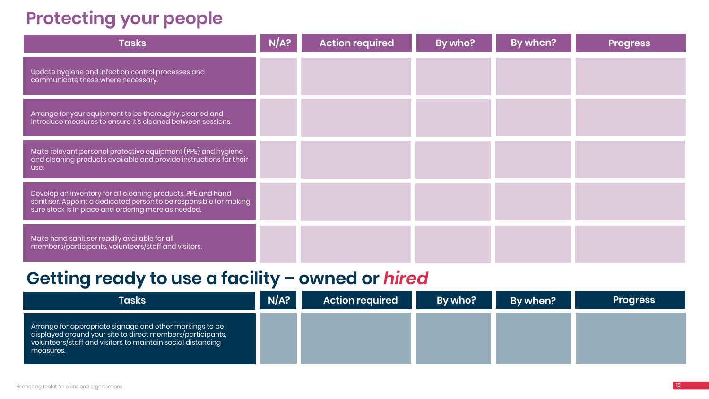

# **Protecting your people**

| <b>Tasks</b>                                                                                                                                                                              | N/A? | <b>Action required</b> | By who? | By when? | <b>Progress</b> |
|-------------------------------------------------------------------------------------------------------------------------------------------------------------------------------------------|------|------------------------|---------|----------|-----------------|
| Update hygiene and infection control processes and<br>communicate these where necessary.                                                                                                  |      |                        |         |          |                 |
| Arrange for your equipment to be thoroughly cleaned and<br>introduce measures to ensure it's cleaned between sessions.                                                                    |      |                        |         |          |                 |
| Make relevant personal protective equipment (PPE) and hygiene<br>and cleaning products available and provide instructions for their<br>use.                                               |      |                        |         |          |                 |
| Develop an inventory for all cleaning products, PPE and hand<br>sanitiser. Appoint a dedicated person to be responsible for making<br>sure stock is in place and ordering more as needed. |      |                        |         |          |                 |
| Make hand sanitiser readily available for all<br>members/participants, volunteers/staff and visitors.                                                                                     |      |                        |         |          |                 |
| Getting ready to use a facility - owned or hired                                                                                                                                          |      |                        |         |          |                 |

| <b>Tasks</b>                                                                                                                                                                                         | NA? | <b>Action required</b> | By who? | By when? | <b>Progress</b> |
|------------------------------------------------------------------------------------------------------------------------------------------------------------------------------------------------------|-----|------------------------|---------|----------|-----------------|
| Arrange for appropriate signage and other markings to be l<br>displayed around your site to direct members/participants,<br>volunteers/staff and visitors to maintain social distancing<br>measures. |     |                        |         |          |                 |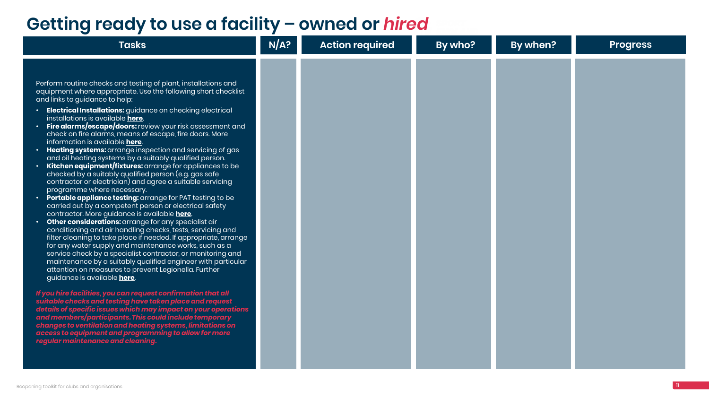| the control of the control of<br>and the state of the state of the state of | <u> a serie de la provincia de la provincia de la provincia de la provincia de la provincia de la provincia de la provincia de la provincia de la provincia de la provincia de la provincia de la provincia de la provincia de l</u> |  |
|-----------------------------------------------------------------------------|--------------------------------------------------------------------------------------------------------------------------------------------------------------------------------------------------------------------------------------|--|

| By who? | By when? | Progress |
|---------|----------|----------|
|         |          |          |
|         |          |          |
|         |          |          |
|         |          |          |
|         |          |          |
|         |          |          |
|         |          |          |
|         |          |          |
|         |          |          |
|         |          |          |
|         |          |          |
|         |          |          |
|         |          |          |
|         |          |          |
|         |          |          |
|         |          |          |
|         |          |          |
|         |          |          |

Perform routine checks and testing of plant, installations and equipment where appropriate. Use the following short checklist and links to guidance to help:

- **Electrical Installations:** guidance on checking electrical installations is available **[here](https://www.hse.gov.uk/pubns/indg354.pdf)**.
- **Fire alarms/escape/doors:** review your risk assessment and check on fire alarms, means of escape, fire doors. More information is available **[here](https://www.hse.gov.uk/toolbox/fire.htm)**.
- **Heating systems:** arrange inspection and servicing of gas and oil heating systems by a suitably qualified person.
- **Kitchen equipment/fixtures:** arrange for appliances to be checked by a suitably qualified person (e.g. gas safe contractor or electrician) and agree a suitable servicing programme where necessary.
- **Portable appliance testing:** arrange for PAT testing to be carried out by a competent person or electrical safety contractor. More guidance is available **[here](https://www.hse.gov.uk/electricity/faq-portable-appliance-testing.htm)**.
- **Other considerations:** arrange for any specialist air conditioning and air handling checks, tests, servicing and filter cleaning to take place if needed. If appropriate, arrange for any water supply and maintenance works, such as a service check by a specialist contractor, or monitoring and maintenance by a suitably qualified engineer with particular attention on measures to prevent Legionella. Further guidance is available **[here](https://www.hse.gov.uk/legionnaires/faqs.htm)**.

*If you hire facilities, you can request confirmation that all suitable checks and testing have taken place and request details of specific issues which may impact on your operations and members/participants. This could include temporary changes to ventilation and heating systems, limitations on access to equipment and programming to allow for more regular maintenance and cleaning.*

#### **Getting ready to use a facility – owned or** *hired*

**Tasks N/A? By action required**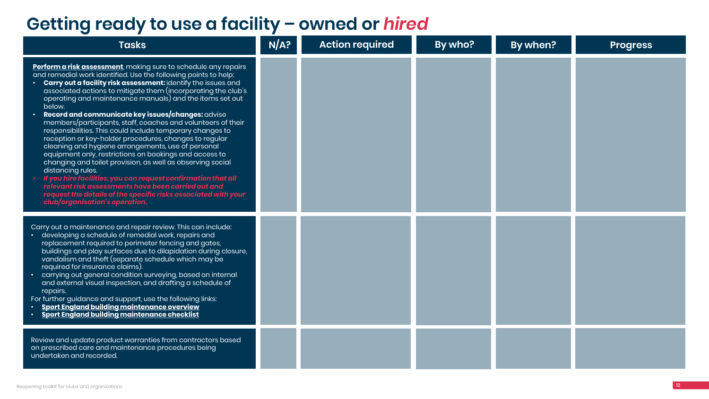| the contract of the contract of<br><b>The Common Service</b><br>the contract of the contract of |           |  |  |
|-------------------------------------------------------------------------------------------------|-----------|--|--|
| <b>Contract Contract Contract Contract</b>                                                      | _________ |  |  |

| <b>Tasks</b>                                                                                                                                                                                                                                                                                                                                                                                                                                                                                                                                                                                                                                                                                                                                                                                                                                                                                                                                                                                                                                              | N/A? | <b>Action required</b> | By who? | By when? | <b>Progress</b> |
|-----------------------------------------------------------------------------------------------------------------------------------------------------------------------------------------------------------------------------------------------------------------------------------------------------------------------------------------------------------------------------------------------------------------------------------------------------------------------------------------------------------------------------------------------------------------------------------------------------------------------------------------------------------------------------------------------------------------------------------------------------------------------------------------------------------------------------------------------------------------------------------------------------------------------------------------------------------------------------------------------------------------------------------------------------------|------|------------------------|---------|----------|-----------------|
| Perform a risk assessment, making sure to schedule any repairs<br>and remedial work identified. Use the following points to help:<br><b>Carry out a facility risk assessment:</b> identify the issues and<br>associated actions to mitigate them (incorporating the club's<br>$\overline{1}$ operating and maintenance manuals) and the items set out $\overline{1}$<br>below.<br>Record and communicate key issues/changes: advise<br>members/participants, staff, coaches and volunteers of their<br>responsibilities. This could include temporary changes to<br>reception or key-holder procedures, changes to regular<br>cleaning and hygiene arrangements, use of personal<br>equipment only, restrictions on bookings and access to<br>changing and toilet provision, as well as observing social<br>distancing rules.<br>If you hire facilities, you can request confirmation that all<br>relevant risk assessments have been carried out and<br>request the details of the specific risks associated with your<br>club/organisation's operation. |      |                        |         |          |                 |
| Carry out a maintenance and repair review. This can include:<br>developing a schedule of remedial work, repairs and<br>replacement required to perimeter fencing and gates,<br>buildings and play surfaces due to dilapidation during closure,<br>vandalism and theft (separate schedule which may be<br>required for insurance claims).<br>carrying out general condition surveying, based on internal<br>and external visual inspection, and drafting a schedule of<br>repairs.<br>For further guidance and support, use the following links:<br><b>Sport England building maintenance overview</b><br>Sport England building maintenance checklist                                                                                                                                                                                                                                                                                                                                                                                                     |      |                        |         |          |                 |
| Review and update product warranties from contractors based<br>on prescribed care and maintenance procedures being<br>undertaken and recorded.                                                                                                                                                                                                                                                                                                                                                                                                                                                                                                                                                                                                                                                                                                                                                                                                                                                                                                            |      |                        |         |          |                 |

## **Getting ready to use a facility – owned or** *hired*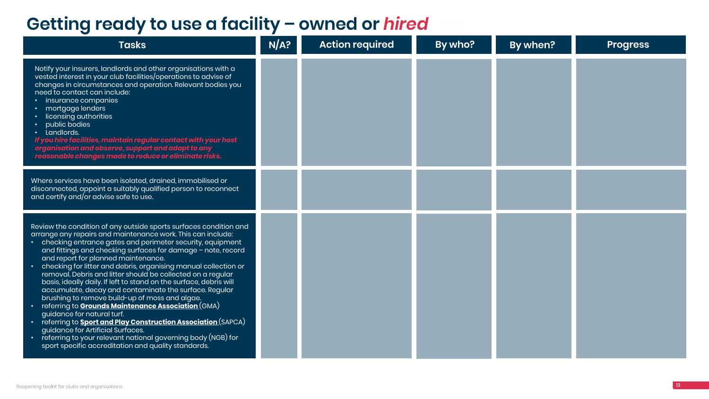| <b>Tasks</b>                                                                                                                                                                                                                                                                                                                                                                                                                                                                                                                                                                                                                                                                                                                                                                                                                                                                                                                                                                    | N/A? | <b>Action required</b> | By who? | <b>By when?</b> | <b>Progress</b> |
|---------------------------------------------------------------------------------------------------------------------------------------------------------------------------------------------------------------------------------------------------------------------------------------------------------------------------------------------------------------------------------------------------------------------------------------------------------------------------------------------------------------------------------------------------------------------------------------------------------------------------------------------------------------------------------------------------------------------------------------------------------------------------------------------------------------------------------------------------------------------------------------------------------------------------------------------------------------------------------|------|------------------------|---------|-----------------|-----------------|
| Notify your insurers, landlords and other organisations with a<br>vested interest in your club facilities/operations to advise of<br>changes in circumstances and operation. Relevant bodies you<br>need to contact can include:<br>• insurance companies<br>mortgage lenders<br>• licensing authorities<br>public bodies<br>· Landlords.<br>If you hire facilities, maintain regular contact with your host<br>organisation and observe, support and adapt to any<br>reasonable changes made to reduce or eliminate risks.                                                                                                                                                                                                                                                                                                                                                                                                                                                     |      |                        |         |                 |                 |
| Where services have been isolated, drained, immobilised or<br>disconnected, appoint a suitably qualified person to reconnect<br>and certify and/or advise safe to use.                                                                                                                                                                                                                                                                                                                                                                                                                                                                                                                                                                                                                                                                                                                                                                                                          |      |                        |         |                 |                 |
| Review the condition of any outside sports surfaces condition and<br>arrange any repairs and maintenance work. This can include:<br>checking entrance gates and perimeter security, equipment<br>and fittings and checking surfaces for damage - note, record<br>and report for planned maintenance.<br>checking for litter and debris, organising manual collection or $\overline{\phantom{a}}$<br>removal. Debris and litter should be collected on a regular<br>basis, ideally daily. If left to stand on the surface, debris will<br>accumulate, decay and contaminate the surface. Regular<br>brushing to remove build-up of moss and algae.<br>referring to <b>Grounds Maintenance Association</b> (GMA)<br>guidance for natural turf.<br>referring to <b>Sport and Play Construction Association</b> (SAPCA)<br>guidance for Artificial Surfaces.<br>referring to your relevant national governing body (NGB) for<br>sport specific accreditation and quality standards. |      |                        |         |                 |                 |

## **Getting ready to use a facility – owned or** *hired*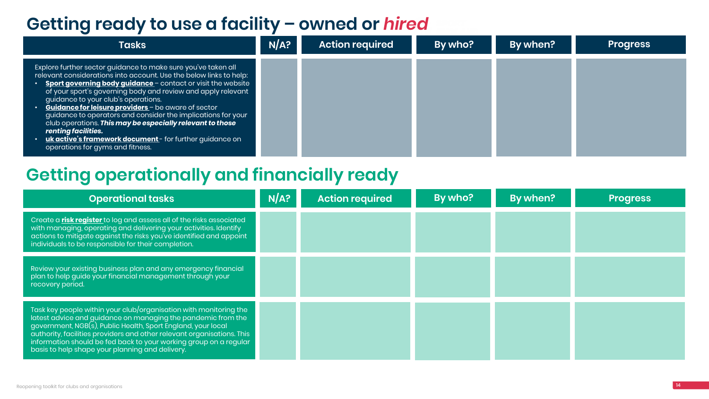| the control of the control of<br>and the contract of the contract of |  |  |
|----------------------------------------------------------------------|--|--|
|                                                                      |  |  |

| <b>Tasks</b>                                                                                                                                                                                                                                                                                                                                                                                                                                                                                                                                                                                                                                        | N/A? | <b>Action required</b> | By who? | By when? | <b>Progress</b> |
|-----------------------------------------------------------------------------------------------------------------------------------------------------------------------------------------------------------------------------------------------------------------------------------------------------------------------------------------------------------------------------------------------------------------------------------------------------------------------------------------------------------------------------------------------------------------------------------------------------------------------------------------------------|------|------------------------|---------|----------|-----------------|
| Explore further sector guidance to make sure you've taken all<br>relevant considerations into account. Use the below links to help:<br>• Sport governing body guidance – contact or visit the website<br>$\overline{\phantom{a}}$ of your sport's governing body and review and apply relevant<br>guidance to your club's operations.<br>• Guidance for leisure providers – be aware of sector<br>guidance to operators and consider the implications for your<br>club operations. This may be especially relevant to those<br>renting facilities.<br>• uk active's framework document- for further guidance on<br>operations for gyms and fitness. |      |                        |         |          |                 |
| _______                                                                                                                                                                                                                                                                                                                                                                                                                                                                                                                                                                                                                                             |      |                        |         |          |                 |

| <b>Operational tasks</b>                                                                                                                                                                                                                                                                                                                                                                            | N/A? | <b>Action required</b> | By who? | By when? | <b>Progress</b> |
|-----------------------------------------------------------------------------------------------------------------------------------------------------------------------------------------------------------------------------------------------------------------------------------------------------------------------------------------------------------------------------------------------------|------|------------------------|---------|----------|-----------------|
| Create a risk register to log and assess all of the risks associated<br>with managing, operating and delivering your activities. Identify<br>actions to mitigate against the risks you've identified and appoint<br>individuals to be responsible for their completion.                                                                                                                             |      |                        |         |          |                 |
| Review your existing business plan and any emergency financial<br>plan to help guide your financial management through your<br>recovery period.                                                                                                                                                                                                                                                     |      |                        |         |          |                 |
| Task key people within your club/organisation with monitoring the<br>latest advice and guidance on managing the pandemic from the<br>government, NGB(s), Public Health, Sport England, your local<br>authority, facilities providers and other relevant organisations. This<br>information should be fed back to your working group on a regular<br>basis to help shape your planning and delivery. |      |                        |         |          |                 |

### **Getting ready to use a facility – owned or** *hired*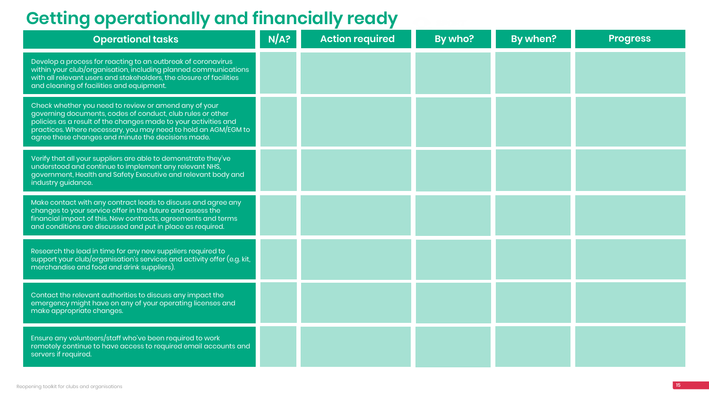| <b>Operational tasks</b>                                                                                                                                                                                                                                                                                       | N/A? | <b>Action required</b> | By who? | By when? | <b>Progress</b> |
|----------------------------------------------------------------------------------------------------------------------------------------------------------------------------------------------------------------------------------------------------------------------------------------------------------------|------|------------------------|---------|----------|-----------------|
| Develop a process for reacting to an outbreak of coronavirus<br>within your club/organisation, including planned communications<br>with all relevant users and stakeholders, the closure of facilities<br>and cleaning of facilities and equipment.                                                            |      |                        |         |          |                 |
| Check whether you need to review or amend any of your<br>governing documents, codes of conduct, club rules or other<br>policies as a result of the changes made to your activities and<br>practices. Where necessary, you may need to hold an AGM/EGM to<br>agree these changes and minute the decisions made. |      |                        |         |          |                 |
| Verify that all your suppliers are able to demonstrate they've<br>understood and continue to implement any relevant NHS,<br>government, Health and Safety Executive and relevant body and<br>industry guidance.                                                                                                |      |                        |         |          |                 |
| Make contact with any contract leads to discuss and agree any<br>changes to your service offer in the future and assess the<br>financial impact of this. New contracts, agreements and terms<br>and conditions are discussed and put in place as required.                                                     |      |                        |         |          |                 |
| Research the lead in time for any new suppliers required to<br>support your club/organisation's services and activity offer (e.g. kit,<br>merchandise and food and drink suppliers).                                                                                                                           |      |                        |         |          |                 |
| Contact the relevant authorities to discuss any impact the<br>emergency might have on any of your operating licenses and<br>make appropriate changes.                                                                                                                                                          |      |                        |         |          |                 |
| Ensure any volunteers/staff who've been required to work<br>remotely continue to have access to required email accounts and<br>servers if required.                                                                                                                                                            |      |                        |         |          |                 |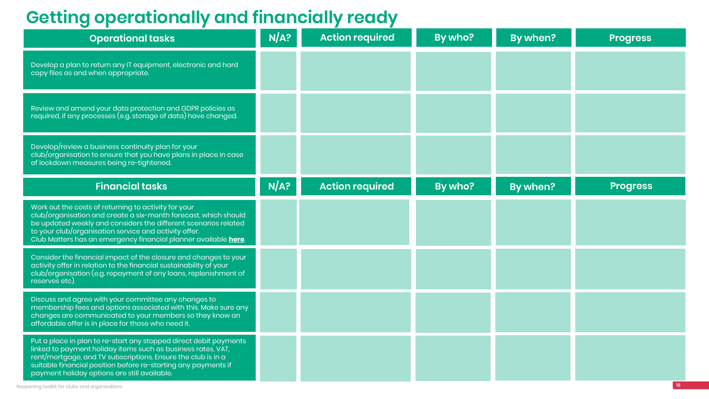| <b>Operational tasks</b>                                                                                                                                                                                                                                                                                               | N/A? | <b>Action required</b> | By who? | By when? | <b>Progress</b> |
|------------------------------------------------------------------------------------------------------------------------------------------------------------------------------------------------------------------------------------------------------------------------------------------------------------------------|------|------------------------|---------|----------|-----------------|
| Develop a plan to return any IT equipment, electronic and hard<br>copy files as and when appropriate.                                                                                                                                                                                                                  |      |                        |         |          |                 |
| Review and amend your data protection and GDPR policies as<br>required, if any processes (e.g. storage of data) have changed.                                                                                                                                                                                          |      |                        |         |          |                 |
| Develop/review a business continuity plan for your<br>club/organisation to ensure that you have plans in place in case<br>of lockdown measures being re-tightened.                                                                                                                                                     |      |                        |         |          |                 |
| <b>Financial tasks</b>                                                                                                                                                                                                                                                                                                 | N/A? | <b>Action required</b> | By who? | By when? | <b>Progress</b> |
| Work out the costs of returning to activity for your<br>club/organisation and create a six-month forecast, which should<br>be updated weekly and considers the different scenarios related<br>to your club/organisation service and activity offer.<br>Club Matters has an emergency financial planner available here. |      |                        |         |          |                 |
| Consider the financial impact of the closure and changes to your<br>activity offer in relation to the financial sustainability of your<br>club/organisation (e.g. repayment of any loans, replenishment of<br>reserves etc).                                                                                           |      |                        |         |          |                 |
| Discuss and agree with your committee any changes to<br>membership fees and options associated with this. Make sure any<br>changes are communicated to your members so they know an<br>affordable offer is in place for those who need it.                                                                             |      |                        |         |          |                 |
| Put a place in plan to re-start any stopped direct debit payments<br>linked to payment holiday items such as business rates, VAT,<br>rent/mortgage, and TV subscriptions. Ensure the club is in a<br>suitable financial position before re-starting any payments if<br>payment holiday options are still available.    |      |                        |         |          |                 |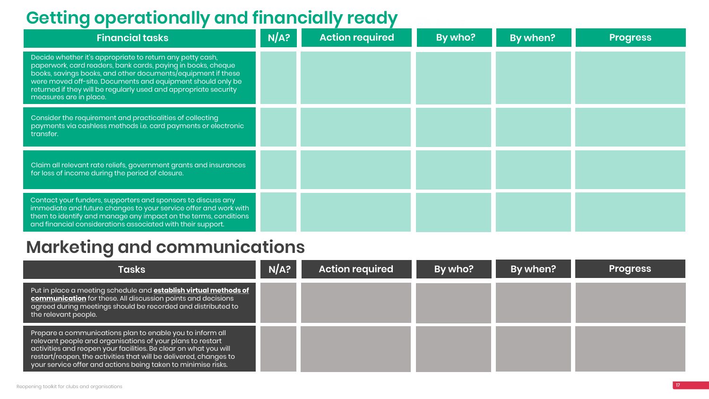| <b>Financial tasks</b>                                                                                                                                                                                                                                                                                                                                 | N/A? | <b>Action required</b> | By who? | By when? | <b>Progress</b> |
|--------------------------------------------------------------------------------------------------------------------------------------------------------------------------------------------------------------------------------------------------------------------------------------------------------------------------------------------------------|------|------------------------|---------|----------|-----------------|
| Decide whether it's appropriate to return any petty cash,<br>paperwork, card readers, bank cards, paying in books, cheque<br>books, savings books, and other documents/equipment if these<br>were moved off-site. Documents and equipment should only be<br>returned if they will be regularly used and appropriate security<br>measures are in place. |      |                        |         |          |                 |
| Consider the requirement and practicalities of collecting<br>payments via cashless methods i.e. card payments or electronic<br>transfer.                                                                                                                                                                                                               |      |                        |         |          |                 |
| Claim all relevant rate reliefs, government grants and insurances<br>for loss of income during the period of closure.                                                                                                                                                                                                                                  |      |                        |         |          |                 |
| Contact your funders, supporters and sponsors to discuss any<br>immediate and future changes to your service offer and work with<br>them to identify and manage any impact on the terms, conditions<br>and financial considerations associated with their support.                                                                                     |      |                        |         |          |                 |

| <b>Tasks</b>                                                                                                                                                                                                                                                                                                                        | N/A? | <b>Action required</b> | By who? | By when? | <b>Progress</b> |
|-------------------------------------------------------------------------------------------------------------------------------------------------------------------------------------------------------------------------------------------------------------------------------------------------------------------------------------|------|------------------------|---------|----------|-----------------|
| Put in place a meeting schedule and <b>establish virtual methods of</b><br>communication for these. All discussion points and decisions<br>$\overline{1}$ agreed during meetings should be recorded and distributed to $\overline{1}$<br>the relevant people.                                                                       |      |                        |         |          |                 |
| Prepare a communications plan to enable you to inform all<br>relevant people and organisations of your plans to restart<br>  activities and reopen your facilities. Be clear on what you will<br>restart/reopen, the activities that will be delivered, changes to<br>your service offer and actions being taken to minimise risks. |      |                        |         |          |                 |

## **Marketing and communications**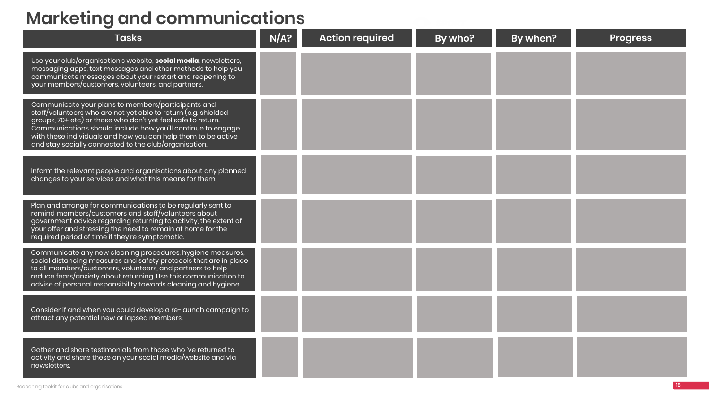## **Marketing and communications**

| <b>Tasks</b>                                                                                                                                                                                                                                                                                                                                                                  | N/A? | <b>Action required</b> | By who? | By when? | <b>Progress</b> |
|-------------------------------------------------------------------------------------------------------------------------------------------------------------------------------------------------------------------------------------------------------------------------------------------------------------------------------------------------------------------------------|------|------------------------|---------|----------|-----------------|
| Use your club/organisation's website, <b>social media</b> , newsletters,<br>messaging apps, text messages and other methods to help you<br>communicate messages about your restart and reopening to<br>your members/customers, volunteers, and partners.                                                                                                                      |      |                        |         |          |                 |
| Communicate your plans to members/participants and<br>staff/volunteers who are not yet able to return (e.g. shielded<br>groups, 70+ etc) or those who don't yet feel safe to return.<br>Communications should include how you'll continue to engage<br>with these individuals and how you can help them to be active<br>and stay socially connected to the club/organisation. |      |                        |         |          |                 |
| Inform the relevant people and organisations about any planned<br>changes to your services and what this means for them.                                                                                                                                                                                                                                                      |      |                        |         |          |                 |
| Plan and arrange for communications to be regularly sent to<br>remind members/customers and staff/volunteers about<br>government advice regarding returning to activity, the extent of<br>your offer and stressing the need to remain at home for the<br>required period of time if they're symptomatic.                                                                      |      |                        |         |          |                 |
| Communicate any new cleaning procedures, hygiene measures,<br>social distancing measures and safety protocols that are in place<br>to all members/customers, volunteers, and partners to help<br>reduce fears/anxiety about returning. Use this communication to<br>advise of personal responsibility towards cleaning and hygiene.                                           |      |                        |         |          |                 |
| Consider if and when you could develop a re-launch campaign to<br>attract any potential new or lapsed members.                                                                                                                                                                                                                                                                |      |                        |         |          |                 |
| Gather and share testimonials from those who 've returned to<br>activity and share these on your social media/website and via<br>newsletters.                                                                                                                                                                                                                                 |      |                        |         |          |                 |